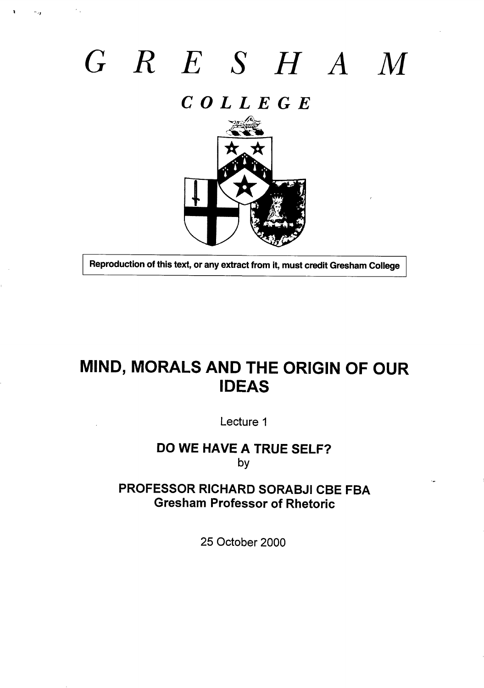# *G RESHA*

 $\mathbb{Z}_{24}$ 

## *COLLEGE*



**Reproduction of this text, or any extract from it, must credit Gresham College** 

## **MIND, MORALS AND THE ORIGIN OF OUR IDEAS**

**Lecture 1**

#### **DO WE HAVE A TRUE SELF? by**

#### **PROFESSOR RICHARD SORABJI CBE FBA Gresham Professor of Rhetoric**

**25 October 2000**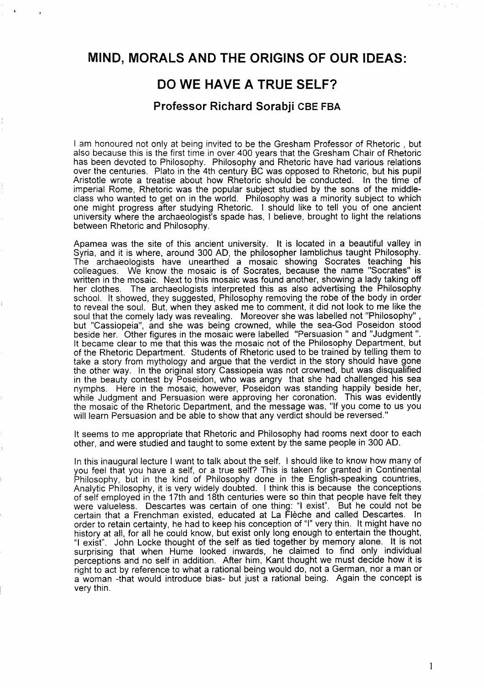#### **MIND, MORALS AND THE ORIGINS OF OUR IDEAS:**

#### **DO WE HAVE A TRUE SELF?**

#### **Professor Richard Sorabji CBE FBA**

I am honoured not only at being invited to be the Gresham Professor of Rhetoric , but also because this is the first time in over 400 years that the Gresham Chair of Rhetoric has been devoted to Philosophy. Philosophy and Rhetoric have had various relations over the centuries. Plato in the 4th century BC was opposed to Rhetoric, but his pupil Aristotle wrote a treatise about how Rhetoric should be conducted. In the time of imperial Rome, Rhetoric was the popular subject studied by the sons of the middleclass who wanted to get on in the world. Philosophy was a minority subject to which one might progress after studying Rhetoric. I should like to tell you of one ancient university where the archaeologist's spade has, I believe, brought to light the relations between Rhetoric and Philosophy.

Apamea was the site of this ancient university. It is located in a beautiful valley in Syria, and it is where, around 300 AD, the philosopher Iamblichus taught Philosophy. The archaeologists have unearthed a mosaic showing Socrates teaching his colleagues. We know the mosaic is of Socrates, because the name "Socrates" is written in the mosaic. Next to this mosaic was found another, showing a lady taking off her clothes. The archaeologists interpreted this as also advertising the Philosophy school. It showed, they suggested, Philosophy removing the robe of the body in orde to reveal the soul. But, when they asked me to comment, it did not look to me like the soul that the comely lady was revealing. Moreover she was Iabelled not "Philosophy" , but "Cassiopeia", and she was being crowned, while the sea-God Poseidon stood beside her. Other figures in the mosaic were Iabelled "Persuasion " and "Judgment ". It became clear to me that this was the mosaic not of the Philosophy Department, but of the Rhetoric Department. Students of Rhetoric used to be trained by telling them to take a story from mythology and argue that the verdict in the story should have gone the other way. In the original story Cassiopeia was not crowned, but was disqualified in the beauty contest by Poseidon, who was angry that she had challenged his sea nymphs. Here in the mosaic, however, Poseidon was standing happily beside her, while Judgment and Persuasion were approving her coronation. This was evidently the mosaic of the Rhetoric Department, and the message was, "If you come to us you will learn Persuasion and be able to show that any verdict should be reversed. "

It seems to me appropriate that Rhetoric and Philosophy had rooms next door to each other, and were studied and taught to some extent by the same people in 300 AD.

In this inaugural lecture I want to talk about the self. I should like to know how many of you feel that you have a self, or a true self? This is taken for granted in Continental Philosophy, but in the kind of Philosophy done in the English-speaking countries, Analytic Philosophy, it is very widely doubted. I think this is because the conceptions of self employed in the 17th and 18th centuries were so thin that people have felt they were valueless. Descartes was certain of one thing: "1 exist". But he could not be certain that a Frenchman existed, educated at La Fleche and called Descartes. In order to retain certainty, he had to keep his conception of "l" very thin. It might have no history at all, for all he could know, but exist only long enough to entertain the thought, "I exist". John Locke thought of the self as tied together by memory alone. It is not surprising that when Hume looked inwards, he claimed to find only individual perceptions and no self in addition. After him, Kant thought we must decide how it is right to act by reference to what a rational being would do, not a German, nor a man or a woman -that would introduce bias- but just a rational being. Again the concept is very thin.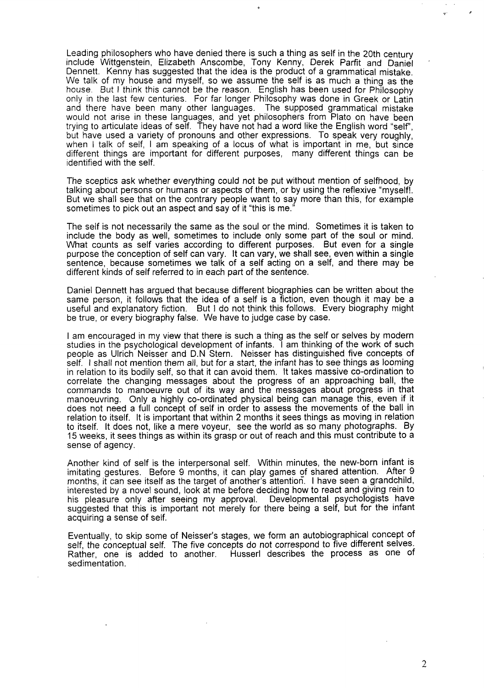Leading philosophers who have denied there is such a thing as self in the 20th century include Wittgenstein, Elizabeth Anscombe, Tony Kenny, Derek Parfit and Daniel ' Dennett. Kenny has suggested that the idea is the product of a grammatical mistake. We talk of my house and myself, so we assume the self is as much a thing as the house, But I think this cannot be the reason. English has been used for Philosophy only in the last few centuries. For far longer Philosophy was done in Greek or Latin and there have been many other languages. The supposed grammatical mistake would not arise in these languages, and yet philosophers from Plato on have been trying to articulate ideas of self. They have not had a word like the English word "self", but have used a variety of pronouns and other expressions. To speak very roughly, when I talk of self, I am speaking of a locus of what is important in me, but since different things are impotiant for different purposes, many different things can be identified with the self.

.

The sceptics ask whether everything could not be put without mention of selfhood, by talking about persons or humans or aspects of them, or by using the reflexive "myself!. But we shall see that on the contrary people want to say more than this, for example sometimes to pick out an aspect and say of it "this is me."

The self is not necessarily the same as the soul or the mind. Sometimes it is taken to include the body as well, sometimes to include only some part of the soul or mind. What counts as self varies according to different purposes. But even for a single purpose the conception of self can vary. It can vary, we shall see, even within a single sentence, because sometimes we talk of a self acting on a self, and there may be different kinds of self referred to in each part of the sentence.

Daniel Dennett has argued that because different biographies can be written about the same person, it follows that the idea of a self is a fiction, even though it may be a useful and explanatory fiction. But I do not think this follows. Every biography might be true, or every biography false. We have to judge case by case.

I am encouraged in my view that there is such a thing as the self or selves by modern studies in the psychological development of infants. I am thinking of the work of such people as Ulrich Neisser and D.N Stern. Neisser has distinguished five concepts of self. I shall not mention them all, but for a start, the infant has to see things as looming in relation to its bodily self, so that it can avoid them. It takes massive co-ordination to correlate the changing messages about the progress of an approaching ball, the commands to manoeuvre out of its way and the messages about progress in that manoeuvring. Only a highly co-ordinated physical being can manage this, even if it does not need a full concept of self in order to assess the movements of the ball in relation to itself. It is important that within 2 months it sees things as moving in relation to itself. It does not, like a mere voyeur, see the world as so many photographs. By 15 weeks, it sees things as within its grasp or out of reach and this must contribute to a sense of agency.

Another kind of self is the interpersonal self. Within minutes, the new-born infant is imitating gestures. Before 9 months, it can play games of shared attention. After 9 months, it can see itself as the target of another's attention. I have seen a grandchild interested by a novel sound, look at me before deciding how to react and giving rein to his pleasure only after seeing my approval. Developmental psychologists have suggested that this is important not merely for there being a self, but for the infant acquiring a sense of self.

Eventually, to skip some of Neisser's stages, we form an autobiographical concept of self, the conceptual self. The five concepts do not correspond to five different selves. Rather, one is added to another. Husserl describes the process as one of sedimentation.

2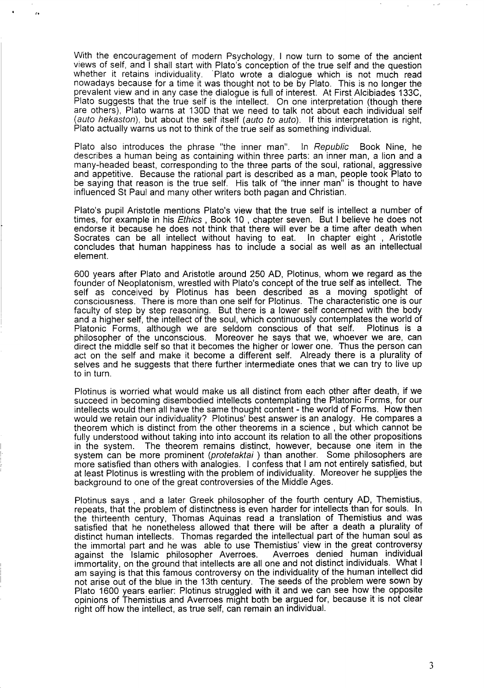With the encouragement of modern Psychology, I now turn to some of the ancient views of self, and I shall start with Plato's conception of the true self and the question whether it retains individuality. 'Plato wrote a dialogue which is not much read nowadays because for a time it was thought not to be by Plato. This is no longer the prevalent view and in any case the dialogue is full of interest. At First Alcibiades 133C, Plato suggests that the true self is the intellect. On one interpretation (though there are others), Plato warns at 130D that we need to talk not about each individual self (auto hekaston), but about the self itself (auto to auto). If this interpretation is right, Plato actually warns us not to think of the true self as something individual.

 $\cdot$   $\cdot$   $\cdot$ 

L

Plato also introduces the phrase "the inner man". In Republic Book Nine, he describes a human being as containing within three parts: an inner man, a lion and a many-headed beast, corresponding to the three parts of the soul, rational, aggressive and appetitive. Because the rational part is described as a man, people took Plato to be saying that reason is the true self. His talk of "the inner man" is thought to have influenced St Paul and many other writers both pagan and Christian.

Plato's pupil Aristotle mentions Plato's view that the true self is intellect a number of times, for example in his *Ethics* , Book 10 , chapter seven. But I believe he does not endorse it because he does not think that there will ever be a time after death when Socrates can be all intellect without having to eat. In chapter eight , Aristotle concludes that human happiness has to include a social as well as an intellectual element.

600 years after Plato and Aristotle around 250 AD, Plotinus, whom we regard as the founder of Neoplatonism, wrestled with Plato's concept of the true self as intellect. The self as conceived by Plotinus has been described as a moving spotlight of consciousness. There is more than one self for Plotinus. The characteristic one is our faculty of step by step reasoning. But there is a lower self concerned with the body and a higher self, the intellect of the soul, which continuously contemplates the world of Platonic Forms, although we are seldom conscious of that self. Plotinus is a philosopher of the unconscious. Moreover he says that we, whoever we are, can direct the middle self so that it becomes the higher or lower one. Thus the person can act on the self and make it become a different self. Already there is a plurality of selves and he suggests that there further intermediate ones that we can try to live up to in turn.

Plotinus is worried what would make us all distinct from each other after death, if we succeed in becoming disembodied intellects contemplating the Platonic Forms, for our intellects would then all have the same thought content - the world of Forms. How then would we retain our individuality? Plotinus' best answer is an analogy. He compares a theorem which is distinct from the other theorems in a science , but which cannot be fully understood without taking into into account its relation to all the other propositions in the system. The theorem remains distinct, however, because one item in the system can be more prominent (protetaktai) than another. Some philosophers are more satisfied than others with analogies. I confess that I am not entirely satisfied, but at least Plotinus is wrestling with the problem of individuality. Moreover he supplies the background to one of the great controversies of the Middle Ages.

Plotinus says , and a later Greek philosopher of the fourth century AD, Themistius, repeats, that the problem of distinctness is even harder for intellects than for souls. In the thirteenth century, Thomas Aquinas read a translation of Themistius and was satisfied that he nonetheless allowed that there will be after a death a plurality of distinct human intellects. Thomas regarded the intellectual part of the human soul as the immortal part and he was able to use Themistius' view in the great controvers against the Islamic philosopher Averroes. Averroes denied human individual immortality, on the ground that intellects are all one and not distinct individuals. What 1 am saying is that this famous controversy on the individuality of the human intellect did not arise out of the blue in the 13th century. The seeds of the problem were sown by Plato 1600 years earlier: Plotinus struggled with it and we can see how the opposite opinions of Themistius and Averroes might both be argued for, because it is not clear right off how the intellect, as true self, can remain an individual.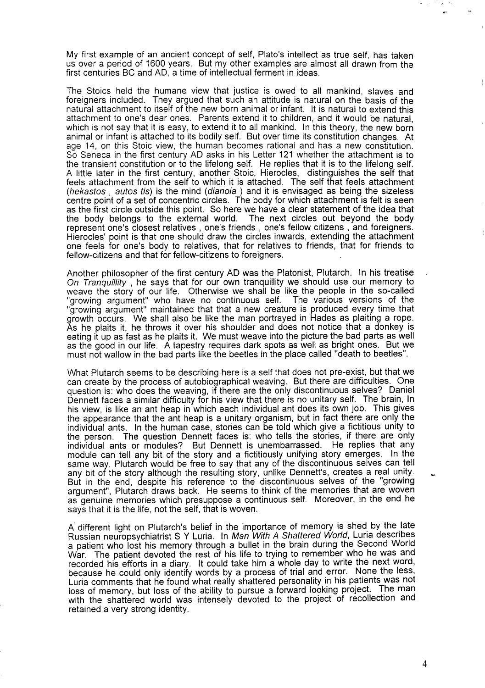My first example of an ancient concept of self, Plato's intellect as true self, has taken us over a period of 1600 years. But my other examples are almost all drawn from the first centuries BC and AD, a time of intellectual ferment in ideas.

The Stoics held the humane view that justice is owed to all mankind, slaves and foreigners included. They argued that such an attitude is natural on the basis of the natural attachment to itself of the new born animal or infant. It is natural to extend this attachment to one's dear ones. Parents extend it to children, and it would be natural, which is not say that it is easy, to extend it to all mankind. In this theory, the new born animal or infant is attached to its bodily self. But over time its constitution changes. At age 14, on this Stoic view, the human becomes rational and has a new constitution. So Seneca in the first century AD asks in his Letter 121 whether the attachment is to the transient constitution or to the lifelong self. He replies that it is to the lifelong self. A little later in the first century, another Stoic, Hierocles, distinguishes the self that feels attachment from the self to which it is attached. The self that feels attachment (hekastos , autos tis) is the mind (dianoia ) and it is envisaged as being the sizeless centre point of a set of concentric circles. The body for which attachment is felt is seen as the first circle outside this point. So here we have a clear statement of the idea that the body belongs to the external world. The next circles out beyond the body represent one's closest relatives , one's friends , one's fellow citizens , and foreigners. Hierocles' point is that one should draw the circles inwards, extending the attachment one feels for one's body to relatives, that for relatives to friends, that for friends to fellow-citizens and that for fellow-citizens to foreigners.

Another philosopher of the first century AD was the Platonist, Plutarch. In his treatise On Tranquillity, he says that for our own tranquillity we should use our memory to weave the story of our life. Otherwise we shall be like the people in the so-called "growing argument" who have no continuous self. The various versions of the "growing argument" maintained that that a new creature is produced every time that growth occurs. We shall also be like the man portrayed in Hades as plaiting a rope. As he plaits it, he throws it over his shoulder and does not notice that a donkey is eating it up as fast as he plaits it. We must weave into the picture the bad parts as well as the good in our life. A tapestry requires dark spots as well as bright ones. But we must not wallow in the bad parts like the beetles in the place called "death to beetles".

What Plutarch seems to be describing here is a self that does not pre-exist, but that we can create by the process of autobiographical weaving. But there are difficulties. One question is: who does the weaving, if there are the only discontinuous selves? Daniel Dennett faces a similar difficulty for his view that there is no unitary self. The brain, In his view, is like an ant heap in which each individual ant does its own job. This gives the appearance that the ant heap is a unitary organism, but in fact there are only the individual ants. In the human case, stories can be told which give a fictitious unity to the person. The question Dennett faces is: who tells the stories, if there are only individual ants or modules? But Dennett is unembarrassed. He replies that any module can tell any bit of the story and a fictitiously unifying story emerges. In the same way, Plutarch would be free to say that any of the discontinuous selves can tell any bit of the story although the resulting story, unlike Dennett's, creates a real unity.  $\quad \Box$ But in the end, despite his reference to the discontinuous selves of the "growing argument", Plutarch draws back. He seems to think of the memories that are woven as genuine memories which presuppose a continuous self. Moreover, in the end he says that it is the life, not the self, that is woven.

A different light on Plutarch's belief in the importance of memory is shed by the late Russian neuropsychiatrist S Y Luria. In Man Wjth A Shattered World, Luria describes a patient who lost his memory through a bullet in the brain during the Second World War. The patient devoted the rest of his life to trying to remember who he was and recorded his efforts in a diary. It could take him a whole day to write the next word because he could only identify words by a process of trial and error. None the less, Luria comments that he found what really shattered personality in his patients was not loss of memory, but loss of the ability to pursue a forward looking project. The man with the shattered world was intensely devoted to the project of recollection and retained a very strong identity.

 $\theta_{\rm{max}}$ 多々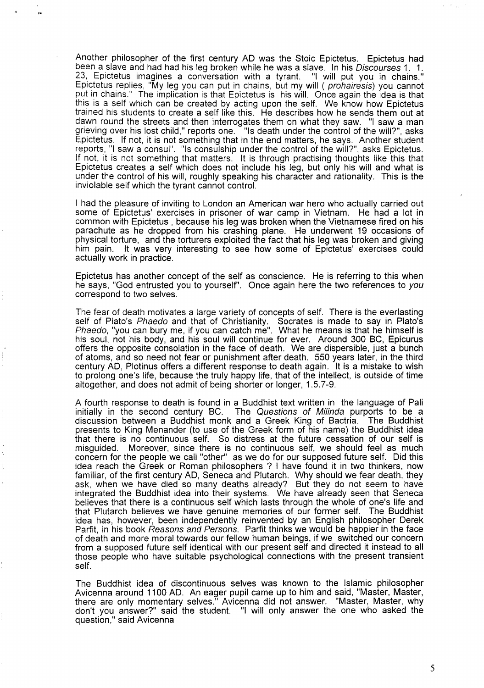Another philosopher of the first century AD was the Stoic Epictetus. Epictetus had been a slave and had had his leg broken while he was a slave. In his Discourses 1. 1. 23, Epictetus imagines a conversation with a tyrant. "1 will put you in chains." Epictetus replies, "My leg you can put in chains, but my will ( prohairesis) you cannot Put in chains." The implication is that Epictetus is his will. Once again the idea is that this is a self which can be created by acting upon the self. We know how Epictetus trained his students to create a self like this. He describes how he sends them out at dawn round the streets and then interrogates them on what they saw. "1 saw a man grieving over his lost child," reports one. If its death under the control of the will?", asks Epictetus. If not, it is not something that in the end matters, he says. Another student reports, "1 saw a consul". "IS consulship under the control of the will?", asks Epictetus. If not, it is not something that matters. It is through practising thoughts like this that Epictetus creates a self which does not include his leg, but only his will and what is under the control of his will, roughly speaking his character and rationality. This is the inviolable self which the tyrant cannot control.

.

,\*

I had the pleasure of inviting to London an American war hero who actually carried out some of Epictetus' exercises in prisoner of war camp in Vietnam. He had a lot in common with Epictetus , because his leg was broken when the Vietnamese fired on his parachute as he dropped from his crashing plane. He undement 19 occasions of physical torture, and the torturers exploited the fact that his leg was broken and giving him pain. It was very interesting to see how some of Epictetus' exercises could actually work in practice.

Epictetus has another concept of the self as conscience. He is referring to this when he says, "God entrusted you to yourself'. Once again here the two references to you correspond to two selves.

The fear of death motivates a large variety of concepts of self. There is the everlasting self of Plato's *Phaedo* and that of Christianity. Socrates is made to say in Plato's Phaedo, "you can bury me, if you can catch me". What he means is that he himself is his soul, not his body, and his soul will continue for ever. Around 300 BC, Epicurus offers the opposite consolation in the face of death. We are dispersible, just a bunch of atoms, and so need not fear or punishment after death. 550 years later, in the third century AD, Plotinus offers a different response to death again. It is a mistake to wish to prolong one's life, because the truly happy life, that of the intellect, is outside of time altogether, and does not admit of being shorter or longer, 1.5.7-9.

A fourth response to death is found in a Buddhist text written in the language of Pali initially in the second century BC. The Questions of Milinda purports to be a discussion between a Buddhist monk and a Greek King of Bactria. The Buddhist presents to King Menander (to use of the Greek form of his name) the Buddhist idea that there is no continuous self. So distress at the future cessation of our self is misguided. Moreover, since there is no continuous self, we should feel as much concern for the people we call "other" as we do for our supposed future self. Did this idea reach the Greek or Roman philosophers ? I have found it in two thinkers, now familiar, of the first century AD, Seneca and Plutarch. Why should we fear death, they ask, when we have died so many deaths already? But they do not seem to have integrated the Buddhist idea into their systems. We have already seen that Seneca believes that there is a continuous self which lasts through the whole of one's life and that Plutarch believes we have genuine memories of our former self. The Buddhist idea has, however, been independently reinvented by an English philosopher Derek Parfit, in his book Reasons and Persons. Parfit thinks we would be happier in the face of death and more moral towards our fellow human beings, if we switched our concern from a supposed future self identical with our present self and directed it instead to all those people who have suitable psychological connections with the present transient self.

The Buddhist idea of discontinuous selves was known to the Islamic philosopher Avicenna around 1100 AD. An eager pupil came up to him and said, "Master, Master, there are only momentary selves." Avicenna did not answer. "Master, **Master,**why don't you answer?" said the student. "1 will only answer the one who asked the question," said Avicenn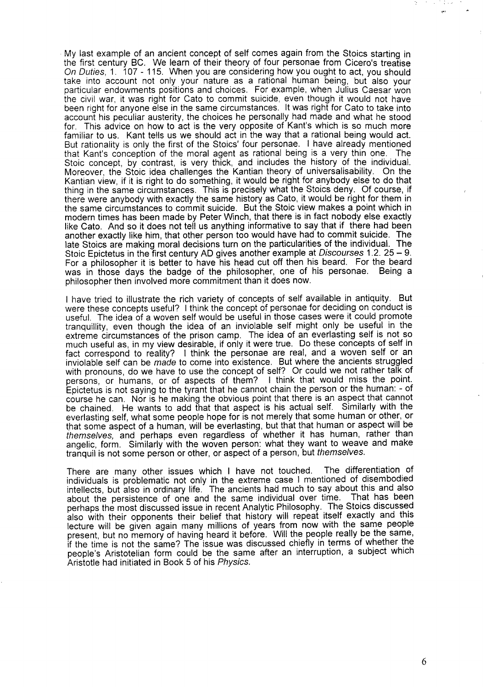My last example of an ancient concept of self comes again from the Stoics starting in the first century BC. We learn of their theory of four personae from Cicero's treatise On Duties, 1. 107 - 115. When you are considering how you ought to act, you should take into account not only your nature as a rational human being, but also your particular endowments positions and choices. For example, when Julius Caesar won the civil war, it was right for Cato to commit suicide, even though it would not have been right for anyone else in the same circumstances. It was fight for Cato to take into account his peculiar austerity, the choices he personally had made and what he stood for. This advice on how to act is the very opposite of Kant's which is so much more familiar to us. Kant tells us we should act in the way that a rational being would act. But rationality is only the first of the Stoics' four personae. I have already mentioned that Kant's conception of the moral agent as rational being is a very thin one. The Stoic concept, by contrast, is very thick, and includes the history of the individual. Moreover, the Stoic idea challenges the Kantian theory of universalisability. On the Kantian view, if it is right to do something, it would be right for anybody else to do that thing in the same circumstances. This is precisely what the Stoics deny. Of course, if there were anybody with exactly the same history as Cato, it would be right for them in the same circumstances to commit suicide. But the Stoic view makes a point which in modern times has been made by Peter Winch, that there is in fact nobody else exactly like Cato. And so it does not tell us anything informative to say that if there had been another exactly like him, that other person too would have had to commit suicide. The late Stoics are making moral decisions turn on the particularities of the individual. The Stoic Epictetus in the first century AD gives another example at Discourses 1.2.25 – 9. For a philosopher it is better to have his head cut off then his beard. For the beard was in those days the badge of the philosopher, one of his personae. Being a philosopher then involved more commitment than it does now.

I have tried to illustrate the rich variety of concepts of self available in antiquity. But were these concepts useful? I think the concept of personae for deciding on conduct is useful. The idea of a woven self would be useful in those cases were it could promote tranquility, even though the idea of an inviolable self might only be useful in the extreme circumstances of the prison camp. The idea of an everlasting self is not so much useful as, in my view desirable, if only it were true. Do these concepts of self in fact correspond to reality? I think the personae are real, and a woven self or an inviolable self can be made to come into existence. But where the ancients struggled with pronouns, do we have to use the concept of self? Or could we not rather talk of persons, or humans, or of aspects of them? I think that would miss the point. Epictetus is not saying to the tyrant that he cannot chain the person or the human: - of course he can. Nor is he making the obvious point that there is an aspect that cannot be chained. He wants to add that that aspect is his actual self. Similarly with the everlasting self, what some people hope for is not merely that some human or other, or that some aspect of a human, will be everlasting, but that that human or aspect will be themselves, and perhaps even regardless of whether it has human, rather than angelic, form. Similarly with the woven person: what they want to weave and make tranquil is not some person or other, or aspect of a person, but themselves.

There are many other issues which I have not touched. The differentiation of individuals is problematic not only in the extreme case I mentioned of disembodied intellects, but also in ordinary life. The ancients had much to say about this and also about the persistence of one and the same individual over time. perhaps the most discussed issue in recent Analytic Philosophy. The Stoics discussed also with their opponents their belief that history will repeat itself exactly and this lecture will be given again many millions of years from now with the same people present, but no memory of having heard it before. Will the people really be the same, if the time is not the same? The issue was discussed chiefly in terms of whether the people's Aristotelian form could be the same after an interruption, a subject which Aristotle had initiated in Book 5 of his Physics.

 $\sim$  $\tilde{\chi}$  ,  $\tilde{\chi}$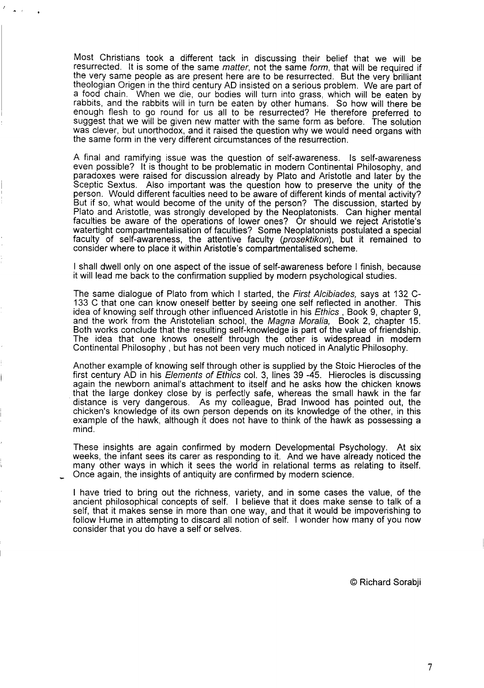Most Christians took a different tack in discussing their belief that we will be resurrected. It is some of the same matter, not the same form, that will be required if the very same people as are present here are to be resurrected. But the very brilliant theologian Origen in the third century AD insisted on a serious problem. We are part of a food chain. When we die, our bodies will turn into grass, which will be eaten by rabbits, and the rabbits will in turn be eaten by other humans. So how will there be enough flesh to go round for us all to be resurrected? He therefore preferred to suggest that we will be given new matter with the same form as before. The solution was clever, but unorthodox, and it raised the question why we would need organs with the same form in the very different circumstances of the resurrection.

A final and ramifying issue was the question of self-awareness. Is self-awareness even possible? It is thought to be problematic in modern Continental Philosophy, and paradoxes were raised for discussion already by Plato and Aristotle and later by the Sceptic Sextus. Also important was the question how to preserve the unity of the person. Would different faculties need to be aware of different kinds of mental activity? But if so, what would become of the unity of the person? The discussion, started by Plato and Aristotle, was strongly developed by the Neoplatonists. Can higher mental faculties be aware of the operations of lower ones? Or should we reject Aristotle's watertight compartmentalisation of faculties? Some Neoplatonists postulated a special faculty of self-awareness, the attentive faculty (prosektikon), but it remained to consider where to place it within Aristotle's compartmentalised scheme.

I shall dwell only on one aspect of the issue of self-awareness before I finish, because it will lead me back to the confirmation supplied by modern psychological studies.

The same dialogue of Plato from which I started, the First Alcibiades, says at 132 C-133 C that one can know oneself better by seeing one self reflected in another. This idea of knowing self through other influenced Aristotle in his Ethics, Book 9, chapter 9, and the work from the Aristotelian school, the *Magna Moralia,* Book 2, chapter 15. Both works conclude that the resulting self-knowledge is part of the value of friendship. The idea that one knows oneself through the other is widespread in modern Continental Philosophy , but has not been very much noticed in Analytic Philosophy.

Another example of knowing self through other is supplied by the Stoic Hierocles of the first century AD in his E/ements of Ethjcs COI.**3,** lines 39-45. Hierocles is discussing again the newborn animal's attachment to itself and he asks how the chicken knows that the large donkey close by is perfectly safe, whereas the small hawk in the far distance is very dangerous. As my colleague, Brad Inwood has pointed out, the chicken's knowledge of its own person depends on its knowledge of the other, in this example of the hawk, although it does not have to think of the hawk as possessing a mind.

These insights are again confirmed by modern Developmental Psychology. At six weeks, the infant sees its carer as responding to it. And we have already noticed the many other ways in which it sees the world in relational terms as relating to itself. Once again, the insights of antiquity are confirmed by modern science.

I have tried to bring out the richness, variety, and in some cases the value, of the ancient philosophical concepts of self. I believe that it does make sense to talk of a self, that it makes sense in more than one way, and that it would be impoverishing to follow Hume in attempting to discard all notion of self. I wonder how many of you now consider that you do have a self or selves.

@ Richard Sorabji